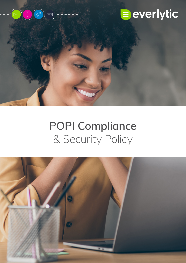



# **POPI Compliance** & Security Policy

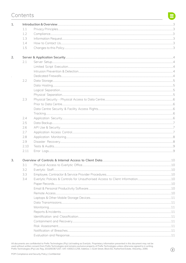# Contents

| 1. |      |  |  |  |  |  |  |  |  |
|----|------|--|--|--|--|--|--|--|--|
|    | 1.1  |  |  |  |  |  |  |  |  |
|    | 1.2  |  |  |  |  |  |  |  |  |
|    | 1.3  |  |  |  |  |  |  |  |  |
|    | 1.4  |  |  |  |  |  |  |  |  |
|    | 1.5  |  |  |  |  |  |  |  |  |
|    |      |  |  |  |  |  |  |  |  |
| 2. |      |  |  |  |  |  |  |  |  |
|    | 2.1  |  |  |  |  |  |  |  |  |
|    |      |  |  |  |  |  |  |  |  |
|    |      |  |  |  |  |  |  |  |  |
|    |      |  |  |  |  |  |  |  |  |
|    | 2.2  |  |  |  |  |  |  |  |  |
|    |      |  |  |  |  |  |  |  |  |
|    |      |  |  |  |  |  |  |  |  |
|    |      |  |  |  |  |  |  |  |  |
|    | 2.3  |  |  |  |  |  |  |  |  |
|    |      |  |  |  |  |  |  |  |  |
|    |      |  |  |  |  |  |  |  |  |
|    |      |  |  |  |  |  |  |  |  |
|    | 2.4  |  |  |  |  |  |  |  |  |
|    | 2.5  |  |  |  |  |  |  |  |  |
|    | 2.6  |  |  |  |  |  |  |  |  |
|    | 2.7  |  |  |  |  |  |  |  |  |
|    | 2.8  |  |  |  |  |  |  |  |  |
|    | 2.9  |  |  |  |  |  |  |  |  |
|    | 2.10 |  |  |  |  |  |  |  |  |
|    | 2.11 |  |  |  |  |  |  |  |  |
| 3. |      |  |  |  |  |  |  |  |  |
|    | 3.1  |  |  |  |  |  |  |  |  |
|    | 3.2  |  |  |  |  |  |  |  |  |
|    | 3.3  |  |  |  |  |  |  |  |  |
|    | 3.4  |  |  |  |  |  |  |  |  |
|    |      |  |  |  |  |  |  |  |  |
|    |      |  |  |  |  |  |  |  |  |
|    |      |  |  |  |  |  |  |  |  |
|    |      |  |  |  |  |  |  |  |  |
|    |      |  |  |  |  |  |  |  |  |
|    |      |  |  |  |  |  |  |  |  |
|    |      |  |  |  |  |  |  |  |  |
|    |      |  |  |  |  |  |  |  |  |
|    |      |  |  |  |  |  |  |  |  |
|    |      |  |  |  |  |  |  |  |  |
|    |      |  |  |  |  |  |  |  |  |
|    |      |  |  |  |  |  |  |  |  |
|    |      |  |  |  |  |  |  |  |  |

All documents are confidential to Prefix Technologies (Pty) Ltd trading as Everlytic. Proprietary information presented in this document may not be used without written consent from Prefix Technologies and remains exclusiv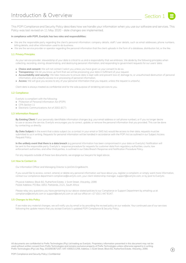

This POPI Compliance and Security Policy describes how we handle your information when you use our software and services. This Policy was last revised on 11 May 2020 - date changes are implemented.

# **In compliance with POPI, Everlytic has two roles and responsibilities:**

- We are the responsible party regarding the client's personal information: company details, staff / user details, such as email addresses, phone numbers, billing details, and other information used to do business.
	- We are the service provider or operator regarding the personal information that the client uploads in the form of a database, distribution list, or the like.

# **1.1 Privacy Principles**

As your service provider, stewardship of your data is critical to us and a responsibility that we embrace. We abide by the following principles when collecting, recording, storing, disseminating, and destroying personal information, and responding to government requests for our users' data:

- **• Choice and consent:** We will not contact / solicit you unless you have given us your consent to do so.
- **• Transparency:** We let you know up front that we will be processing your data in fulfilment of your request.
- **• Accountability and security:** We take measures to ensure data is kept safe and prevent loss of, damage to, or unauthorised destruction of personal information, and unlawful access to or processing of personal information.
- **• Access:** We will give you access to any of your personal information that you request, unless the request is unlawful.

 Client data is always treated as confidential and for the sole purpose of rendering services to you.

# **1.2 Compliance**

Everlytic is compliant with the following:

- Protection of Personal Information Act (POPI)
- CPA Section 11
- Electronic Communications Act of 2002 (ECT)

#### **1.3 Information Request**

**By Existing Client:** If your personally identifiable information changes (e.g. your email address or cell phone number), or if you no longer desire to use or access the service, Everlytic encourages you to correct, update, or remove the personal information that you provided. This can be done by contacting us directly.

**By Data Subject:** In the event that a data subject (i.e. a contact in your email or SMS list) would like access to their data, requests must be submitted to us in writing. Requests for personal information will be handled in accordance with the POPI Act as outlined in our Subject Access Request Policy.

**In the unlikely event that there is a data breach** (e.g personal information has been compromised in your data on Everlytic): Notification will be sent to the responsible party. Everlytic's response procedure for requests for customer data from regulatory authorities, courts, law enforcement authorities, and other third parties, is outlined in our Data Breach Response and Notification Procedure Policy.

For any requests outside of these two documents, we engage our lawyers for legal advice.

# **1.4 How to Contact Us**

 Our Information Officer and Managing Director is JanDirk Engelbrecht.

If you would like to access, correct, amend, or delete any personal information we have about you, register a complaint, or simply want more information, contact our compliance department [compliance@everlytic.com](mailto:compliance%40everlytic.com?subject=), your client relationship manager, [support@everlytic.com,](mailto:support%40everlytic.com?subject=) or by post to Everlytic.

Physical Address: Block B2, Rutherford Estate, 1 Scott Street, Waverley, 2090 Postal Address: PO Box 1653, Parklands, 2121, South Africa

Please relay any questions you have pertaining to our above-stated policies to our Compliance or Support Department by emailing us at  [compliance@everlytic.com](mailto:compliance%40everlytic.com?subject=) or [support@everlytic.com](mailto:support%40everlytic.com?subject=) or call our office on +27 (0)11 447 6147.

# **1.5 Changes to this Policy**

If we make any material changes, we will notify you by email or by providing the revised policy on our website. Your continued use of our services following the update means that you accept Everlytic's updated POPI Compliance & Security Policy.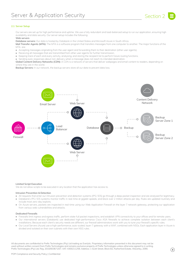

# **2.1 Server Setup**

Our servers are set up for high performance and uptime. We use a fully redundant and load-balanced setup to run our application, ensuring high availability and data security. Our server setup includes the following:

# **Web servers**

**Database servers:** Our data is hosted by Databank in the United States and Microsoft Azure in South Africa.

**Mail Transfer Agents (MTA):** The MTA is a software program that transfers messages from one computer to another. The major functions of the MTA are:

- Accepting messages originating from the user agent and forwarding them to their destination (other user agents).
- Receiving all messages that are transmitted from other user agents for further transmission.
- Keeping track of each and every activity, analysing, and storing the recipient list to perform future routing functions.
- Sending auto-responses about non-delivery when a message does not reach its intended destination.

Global Content Delivery Networks (CDN): A CDN is a network of servers that deliver webpages and email content to readers, depending on where they are in the world.

**Backup Servers:** In our network, the backup servers store all our data to prevent data loss.



#### **Limited Script Execution**

We do not allow scripts to be executed in any location that the application has access to.

# **Intrusion Prevention & Detection**

- All requests that enter our intrusion prevention and detection systems (IPS / IDS) go through a deep packet inspection and are analysed for legitimacy. • Databank's IPS / IDS systems monitor traffic in real-time at gigabit speeds, and block over 2 million attacks per day. Rules are updated routinely and include most zero-day exploits.
- On Azure servers, packets are inspected in real-time using our Web Application Firewall on the layer 7 network gateway, protecting our application from various web vulnerabilities and attacks.

#### **Dedicated Firewalls**

- Firewalls limit ingress and egress traffic, perform state-full packet inspections, and establish VPN connectivity to your offices and for remote users. • Our international servers (Databank) use dedicated high-performance Cisco ASA firewalls to achieve complete isolation between each client's
- installations. Because each client's security needs are different, our firewall administrators work with you to tune your firewall's specific rules. • Our Local Servers (Azure) use a high-performance, auto-scaled, layer-7 gateway with a WAF, combined with NSGs. Each application layer in Azure is
- divided and isolated on their own subnets with their own NSG rules.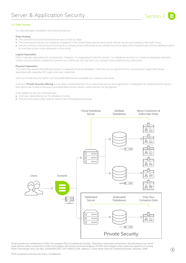

# **2.2 Data Storage**

Our data storage is handled in the following manner:

# **Data Hosting**

- We use both local and international servers to host our data.
- The international servers are hosted by Databank in the United States and the local South African servers are hosted by Microsoft Azure.
- We are currently in the process of moving all our infrastructure to Microsoft Azure, where most of our data will be hosted locally with an additional option to host data at any Azure datacenter in the world.

# **Logical Separation**

Data is logically separated, but not physically. However, it is segregated inside the solution. Our database structure is a relational database and each contact record contains a relational customer key. Clients can only see their own contacts due to relational key restrictions.

# **Physical Separation**

The client may request that data be stored in a separate physical database. There are various options for this, including each application being separated with separate URL logins and user credentials.

With our Private Security option, we have dedicated servers available too, hosted on the cloud.

Everlytic's **Private Security offering** is a privately hosted extension of our Advanced service level agreement. It's designed for companies that require their data to be hosted on exclusive and dedicated servers where custom policies can be applied.

It has additional security measures like:

- A private / dedicated server for database hosting.
- Exclusive encryption keys used for data at rest and database backups.

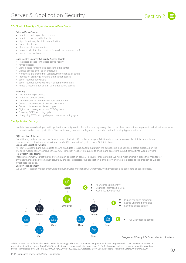

# **2.3 Physical Security - Physical Access to Data Centre**

# **Prior to Data Centre**

- Restricted parking on the premises
- Restricted access to the facility
- Signs identifying the data centre facility
- Guard at entrance
- Photo identification required
- Business identification required (photo ID or business card)
- Sign-in / sign-out process

# **Data Centre Security & Facility Access Rights**

- Restricted access to the data centre facility
- Keypad access
- Signs posted for restricted access to data center
- Unique access ID for each employee
- No generic IDs granted for vendors, maintenance, or others
- Process for granting / revoking data center access
- Escort required for visitors
- Escort required for vendor and maintenance workers
- Periodic reconciliation of staff with data centre access

# **Tracking**

- Live monitoring of access
- Digital log of door access
- Written visitor log in restricted data centre area
- Camera placement at all door access points
- Camera placement at aisles / cages
- Digital and analogue, motion CCTV system
- One-day CCTV recording cycle
- Ninety-day CCTV storage beyond normal recording cycle

# **2.4 Application Security**

Everlytic has been developed with application security in mind from the very beginning. The product has been written to prevent and withstand attacks common to web-based applications. We use industry-standard safeguards to stand up to the following types of attacks:

#### **SQL Injection Attacks**

 Data filtering and escape mechanisms prevent attack via SQL malware scripts. Additionally, all queries run on the database use bound parameters (a method of escaping input) or MySQL escaped strings to prevent SQL injections.

#### **Cross-Site Scripting Attacks**

All input is validated and type cast to ensure input data is valid. Output data from the database is also sanitised before displayed on the interface. Additionally, we include the X-XSS-Protection header in requests to enable and enforce the XSS filter built into web browsers.

# **File System Monitoring**

 Attackers commonly target the file system on an application server. To counter these attacks, we have mechanisms in place that monitor for any unauthorised file system changes. If any change is detected, the application is shut down and we are alerted to the problem so we can investigate the issue.

#### **Session Management**

We use PHP session management. It is a robust, trusted mechanism. Furthermore, we namespace and segregate all session data.

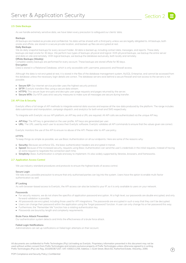

# **2.5 Data Backups**

As we handle extremely sensitive data, we have taken every precaution to safeguard our clients' data.

#### **Backups**

 All backups are treated as private and confidential. No data will be shared with a third party unless we are legally obligated to. All backups, both onsite and offsite, are stored in a secure private location, and backed-up files are encrypted at rest.

# **Daily Backups**

We do daily snapshot backups for every account holder. All data is backed up, including contact data, messages, and reports. These daily backups are kept onsite for 30 days. We perform two types of backups: physical and logical. With physical backups, we backup the entire server and data on site and remotely. With logical backups, we backup the database exclusively, both locally and remotely.

#### **Offsite Backups (Weekly)**

Complete weekly backups are performed for every account. These backups are stored offsite for 90 days.

#### **Encryption**

 Data is stored in a Relational Database, which is only accessible with username, password, and firewall access.

 Although the data is not encrypted at rest, it is stored in the files of the database management system, MySQL Enterprise, and cannot be accessed from the database unless the necessary login details are correct. The database servers exist behind a secure firewall and root access to the servers is not possible.

- **• Secure ISP:** Our internet service provider uses the highest security protocol.
- **• SFTP:** Everlytic transfers files using a secure data stream.
- **• HTTPS:** This secure layer encrypts and decrypts user page requests and pages returned by the server.
- **• Secure MTA:** Our MTA uses strict security measures to make sure all messages are secure during transfer.

# **2.6 API Use & Security**

Everlytic offers a full range of API methods to integrate external data sources and expose all the raw data produced by the platform. The range includes data submission and manipulation, campaign dispatch, and analytics for both email and SMS respectively.

To integrate with Everlytic via our API platform, an API key and a URL are required. All API calls are authenticated via the unique API key.

- **• API Key:** The API key is generated on the user profile. API keys are generated per user.
- **• URL:** The URL used by each user to access their Everlytic software. Everlytic validates all API commands to ensure that the values given are correct.

Everlytic monitors the use of the API to ensure no abuse of the API. Please refer to API use policy.

# **HTTPS**

To keep things as simple as possible, we use Basic Authentication on all our endpoints. Here are some of the reasons why:

- **• Security:** Because we enforce SSL, the basic authentication headers are encrypted in transit.
- **• Speed:** Because of the increased security, requests using Basic Authentication can send the user's credentials in the initial requests, instead of having an extra request to negotiate the connection each time.
- **• Simplicity:** Basic Authentication is simple and easy to implement. It's also widely supported by libraries, browsers, and frameworks.

# **2.7 Application Access Control**

We use industry-standard procedures and protocols to ensure the highest levels of access control.

#### **Secure Login**

We take every possible precaution to ensure that only authorised parties can log into the system. Users have the option to enable multi-factor authentication as well.

# **IP Locking**

As with browser-based access to Everlytic, the API access can also be locked to your IP, so it is only available to users on your network.

#### **Passwords**

- For security reasons, we do not share the specifics of application password encryption. At a high level, our passwords are double encrypted, and only forward validation is possible.
- All passwords are encrypted, including those used for API integrations. The passwords are encrypted in such a way that they can't be decrypted.
- Users can change their password within the application using the 'forgot password' function. A user can only change his or her password this way.
- Furthermore, the "Remember Me" function has a rotating authentication key.
- Passwords are bound by length and complexity requirements.

# **Brute Force Attack Prevention**

Our authentication system detects and limits the effectiveness of a brute force attack.

# **Failed Login Notifications**

 Administrators can set up notifications on failed login attempts on their account.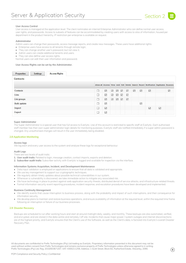# **User Access Control**

 User access is managed at the application level. The client nominates an internal Enterprise Administrator who can define normal user access, user rights, and passwords. Access to subsets of features can be accommodated by creating users with access to silos of information, housed per department in the product hierarchy. IP restriction per enterprise is available on request.

#### **Administrator**

Admin users can change their passwords, access message reports, and create new messages. These users have additional rights:

- Enterprise users have access to all tenants through remote login.
- They can change another user's password, but not view it.
- Admin users can create additional tenants and users.
- They can also define user access rights.

Normal users can edit their user information and password.

# **User Access Rights can be set by the Administrator.**

| <b>Properties</b>  | <b>Settings</b> | <b>Access Rights</b> |   |                 |                 |     |   |              |   |              |                                                                                     |                            |   |
|--------------------|-----------------|----------------------|---|-----------------|-----------------|-----|---|--------------|---|--------------|-------------------------------------------------------------------------------------|----------------------------|---|
| <b>Contacts</b>    |                 |                      |   |                 |                 |     |   |              |   |              |                                                                                     |                            |   |
|                    |                 |                      |   |                 |                 |     |   |              |   |              | Allow all Access View Add Edit Delete Search Report Notification Duplicates Bounces |                            |   |
| <b>Contacts</b>    |                 |                      | □ | ☑               | ☑               | ☑ ☑ |   | $\geq$       | ☑ | ☑            | $\triangledown$                                                                     |                            | ☑ |
| Lists              |                 |                      | □ | ☑               | $\triangledown$ | ☑   | ☑ | $\checkmark$ |   |              |                                                                                     |                            |   |
| List groups        |                 |                      | □ | ☑               | $\triangledown$ | ☑   | ☑ | $\checkmark$ |   |              |                                                                                     |                            |   |
| <b>Bulk update</b> |                 |                      | □ | $\triangledown$ |                 |     |   |              |   | $\checkmark$ |                                                                                     |                            |   |
| Import             |                 |                      | □ | ☑               |                 |     |   |              |   |              | ☑                                                                                   | $\color{red}\triangledown$ |   |
| Export             |                 |                      | □ | ☑               |                 |     |   |              |   |              |                                                                                     |                            |   |

#### **Super Administrator**

 The Super Administrator is a special user that has full access to Everlytic. Use of this account is restricted to specific staff at Everlytic. Each authorised staff member has their own super administrator login details for monitoring purposes. Everlytic staff are notified immediately if a super admin password is changed. Any unauthorised changes will result in the user immediately being disabled.

#### **2.8 Application Monitoring**

#### **Access logs**

We log each and every user access to the system and analyse these logs for exceptional behaviour.

# **Audit Logs**

There are two levels of audit trails:

- **1. User audit trails:** Related to login, message creation, contact imports, exports and deletion.
- **2. Subscriber audit trails:** Subscriber activity with Everlytic is logged and available for inspection via the interface.

#### **Information Systems Acquisition, Incident, and Development Maintenance**

- Data input validation is employed on applications to ensure that all data is validated and appropriate.
- We use key management to support our cryptographic techniques.
- We regularly obtain timely updates about possible technical vulnerabilities in our system.
- Whenever a vulnerability is discovered, we take immediate action to mitigate any associated risk.
- We have technology in place to protect against web application security threats, distributed denial of service attacks, and infrastructure-related threats.
- Formal information-security-event reporting procedures, incident response, and escalation procedures have been developed and implemented.

# **Business Continuity Management**

- We identify events that cause interruption to business process, along with the probability and impact of such interruptions, and their consequence for information security.
- We develop plans to maintain and restore business operations, and ensure availability of information at the required level, within the required time frame following an interruption or failure of our business processes.

#### **2.9 Disaster Recovery**

 Backups are scheduled to run after working hours and start at around midnight daily, weekly, and monthly. These backups are also automated, verified, and encrypted, and are stored in the data centre and remotely / off site. Incidents that cause major power / system outages and internet disconnections are of the highest priority, and Everlytic ensures that the Client's use of the Software, as well as the Client's data, is factored into Everlytic's overall Disaster Recovery Plan.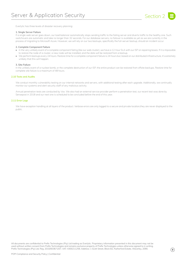

Everlytic has three levels of disaster recovery planning:

# **1. Single Server Failure**

 If a single web server goes down, our load balancer automatically stops sending traffic to the failing server and diverts traffic to the healthy one. Such switchovers are automatic and take no longer than 32 seconds. For our database servers, no failover is available as yet as we are currently in the process of migrating to Microsoft Azure. However, we will rely on our two backups, specifically the full-server backup, should an incident occur.

#### **2. Complete Component Failure**

- In the very unlikely event of a complete component failing (like our web cluster), we have a 12-hour SLA with our ISP on repairing boxes. If it is impossible to restore the node of a cluster, a new node will be installed, and the data will be restored from a backup.
- We perform backups every 24 hours. Restore time for a complete component failure is 24 hours but, based on our distributed infrastructure, it's extremely unlikely that this will happen.

# **3. Site Failure**

In the unlikely event of a nuclear bomb, or the complete destruction of our ISP, the entire product can be restored from offsite backups. Restore time for complete site failure is a maximum of 48 hours.

# **2.10 Tests and Audits**

We conduct monthly vulnerability testing on our internal networks and servers, with additional testing after each upgrade. Additionally, we continually monitor our systems and alert security staff of any malicious activity.

 Annual penetration tests are conducted by Vox. We also had an external service provider perform a penetration test, our recent test was done by Sensepost in 2018 and our next one is scheduled to be concluded before the end of this year.

# **2.11 Error Logs**

 We have exception handling at all layers of the product. Verbose errors are only logged to a secure and private location;they are never displayed to the public.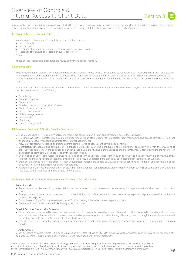

Access to client data from within our company is limited to essential staff who are required to access our systems for client service or maintenance purposes. This section outlines the measures that Everlytic has taken to ensure client data is kept safe, even within Everlytic's offices.

# **3.1 Physical Access to Everlytic Office**

 We employ the following physical safety measures within our office:

- Gated security
- Keycard entry
- Receptionist to identify / welcome anyone who does not have access
- Receptionist to ensure all visitors sign our visitor register
- CCTV

These access records and procedures are reviewed by management regularly.

# **3.2 Everlytic Staff**

In general, all support staff and assigned client relationship managers have access to client data to support clients. These employees are moderated by their employment contracts, and the gravity of their access rights is re-enforced during induction. Access is physically restricted to the Everlytic office through IP restriction; only staff on our IP network can access client data. Furthermore, staff members can only access client data if they have permission to do so.

 All Everlytic staff and contractors attest to terms and conditions that specifically outline privacy, information security, and confidentiality. Everlytic staff are also trained yearly on the following:

- Compliancy
- General procedures
- Paper records
- Email and personal productivity software
- Electronic remote access
- Laptops / notebooks
- Mobile storage devices
- Data transfer
- Monitoring
- Breach management

# **3.3 Employee, Contractor & Service Provider Procedures**

- Background checks (including criminal record checks) are conducted on all staff and contractors before they are hired.
- Personnel who retire, transfer from any internal department, resign etc. are removed immediately from mailing lists and access control lists. Relevant changes also occur when staff transfer to other internal assignments.
- New staff are carefully coached and trained before being allowed to access confidential or personal files.
- Contractors, consultants, and external service providers employed by Everlytic are subject to a strict formal contract in line with the provisions of the POPI Act. The terms of the contract, and undertakings given, are reviewed and audited to ensure compliance. External partners are never given permission to client data unless approved by the client in writing.
- Everlytic has an up-to-date Acceptable Usage Policy relating to the use of any office technology and software (e.g. telephone, mobile phone, fax, email, internet, intranet, and remote access, etc.) by its staff. This policy is understood and signed by each user of such technology at Everlytic.
- Staff ensure that callers to the office or other unauthorised persons are unable to view personal or sensitive information, whether held on paper documents or information displayed on PC monitors, etc.
- All staff ensure that PCs are logged off or 'locked' when left unattended. Where possible, staff are restricted from saving files to the local disk. Users are instructed to only save files to their allocated network drive.

# **3.4 Everlytic Policies & Controls for Unauthorised Access to Client Information**

# **Paper Records**

- Paper records and files containing personal data are handled in such a way as to restrict access to only those persons with business reasons to access them.
- Everlytic shreds all paper records that contain confidential information. Other secure disposal methods are in place and properly used for confidential material not on paper.
- Facsimile technology (fax machines) are not used for transmitting documents containing personal data.
- Papers with confidential data are locked away when not in use.

# **Email & Personal Productivity Software**

- Standard unencrypted email is never used to transmit data of a personal or sensitive nature. Clients who wish to use email to transfer such data must ensure that personal or sensitive information is encrypted or password protected, either through file encryption or through the use of a secure email facility that encrypts the data (including attachments) being sent.
- Everlytic scans and flags outgoing emails and attachments for keywords that indicate the presence of sensitive data such as banking and credit card details.

# **Remote Access**

 When accessing this data remotely, it is done via a secure encrypted link via an SSL VPN tunnel with relevant access controls in place. Stringent security and access controls, such as strong passwords, are used for an additional layer of protection.